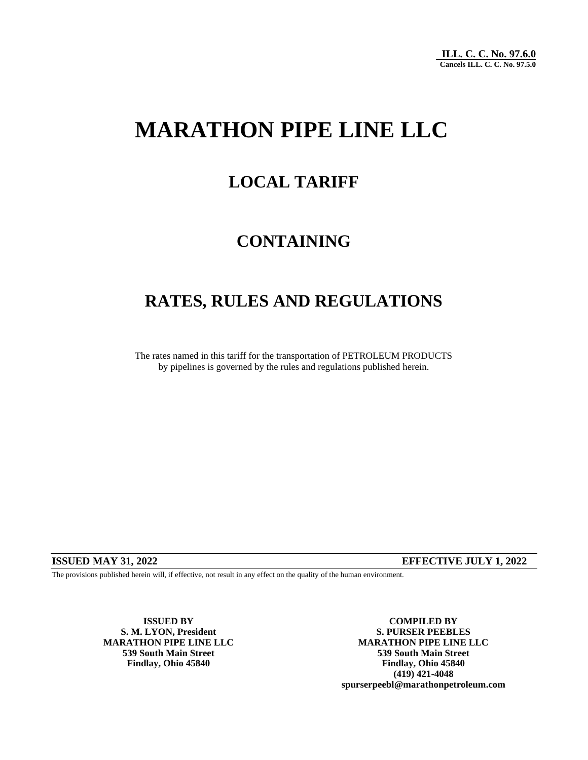# **MARATHON PIPE LINE LLC**

# **LOCAL TARIFF**

# **CONTAINING**

# **RATES, RULES AND REGULATIONS**

The rates named in this tariff for the transportation of PETROLEUM PRODUCTS by pipelines is governed by the rules and regulations published herein.

### **ISSUED MAY 31, 2022 EFFECTIVE JULY 1, 2022**

The provisions published herein will, if effective, not result in any effect on the quality of the human environment.

**S. M. LYON, President** 

**ISSUED BY COMPILED BY COMPILED BY COMPILED BY COMPILED BY COMPILED BY MARATHON PIPE LINE LLC MARATHON PIPE LINE LLC 539 South Main Street 539 South Main Street Findlay, Ohio 45840 Findlay, Ohio 45840 (419) 421-4048 spurserpeebl@marathonpetroleum.com**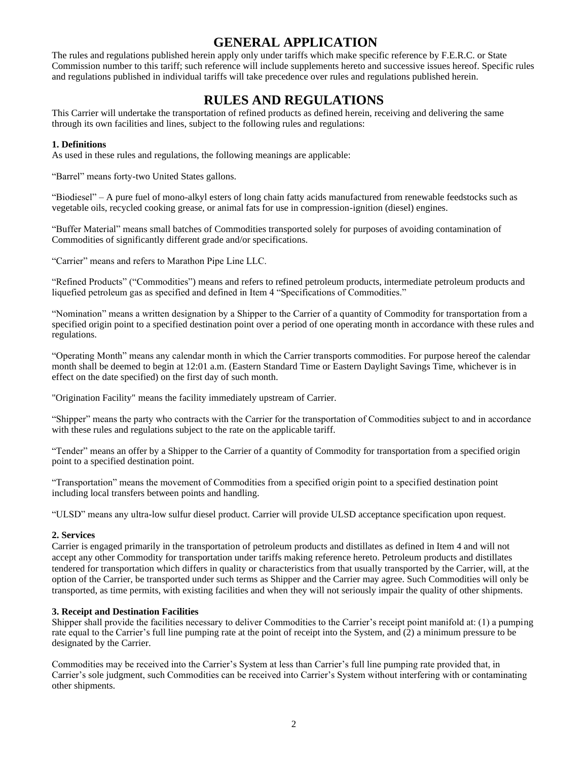### **GENERAL APPLICATION**

The rules and regulations published herein apply only under tariffs which make specific reference by F.E.R.C. or State Commission number to this tariff; such reference will include supplements hereto and successive issues hereof. Specific rules and regulations published in individual tariffs will take precedence over rules and regulations published herein.

### **RULES AND REGULATIONS**

This Carrier will undertake the transportation of refined products as defined herein, receiving and delivering the same through its own facilities and lines, subject to the following rules and regulations:

### **1. Definitions**

As used in these rules and regulations, the following meanings are applicable:

"Barrel" means forty-two United States gallons.

"Biodiesel" – A pure fuel of mono-alkyl esters of long chain fatty acids manufactured from renewable feedstocks such as vegetable oils, recycled cooking grease, or animal fats for use in compression-ignition (diesel) engines.

"Buffer Material" means small batches of Commodities transported solely for purposes of avoiding contamination of Commodities of significantly different grade and/or specifications.

"Carrier" means and refers to Marathon Pipe Line LLC.

"Refined Products" ("Commodities") means and refers to refined petroleum products, intermediate petroleum products and liquefied petroleum gas as specified and defined in Item 4 "Specifications of Commodities."

"Nomination" means a written designation by a Shipper to the Carrier of a quantity of Commodity for transportation from a specified origin point to a specified destination point over a period of one operating month in accordance with these rules and regulations.

"Operating Month" means any calendar month in which the Carrier transports commodities. For purpose hereof the calendar month shall be deemed to begin at 12:01 a.m. (Eastern Standard Time or Eastern Daylight Savings Time, whichever is in effect on the date specified) on the first day of such month.

"Origination Facility" means the facility immediately upstream of Carrier.

"Shipper" means the party who contracts with the Carrier for the transportation of Commodities subject to and in accordance with these rules and regulations subject to the rate on the applicable tariff.

"Tender" means an offer by a Shipper to the Carrier of a quantity of Commodity for transportation from a specified origin point to a specified destination point.

"Transportation" means the movement of Commodities from a specified origin point to a specified destination point including local transfers between points and handling.

"ULSD" means any ultra-low sulfur diesel product. Carrier will provide ULSD acceptance specification upon request.

### **2. Services**

Carrier is engaged primarily in the transportation of petroleum products and distillates as defined in Item 4 and will not accept any other Commodity for transportation under tariffs making reference hereto. Petroleum products and distillates tendered for transportation which differs in quality or characteristics from that usually transported by the Carrier, will, at the option of the Carrier, be transported under such terms as Shipper and the Carrier may agree. Such Commodities will only be transported, as time permits, with existing facilities and when they will not seriously impair the quality of other shipments.

### **3. Receipt and Destination Facilities**

Shipper shall provide the facilities necessary to deliver Commodities to the Carrier's receipt point manifold at: (1) a pumping rate equal to the Carrier's full line pumping rate at the point of receipt into the System, and (2) a minimum pressure to be designated by the Carrier.

Commodities may be received into the Carrier's System at less than Carrier's full line pumping rate provided that, in Carrier's sole judgment, such Commodities can be received into Carrier's System without interfering with or contaminating other shipments.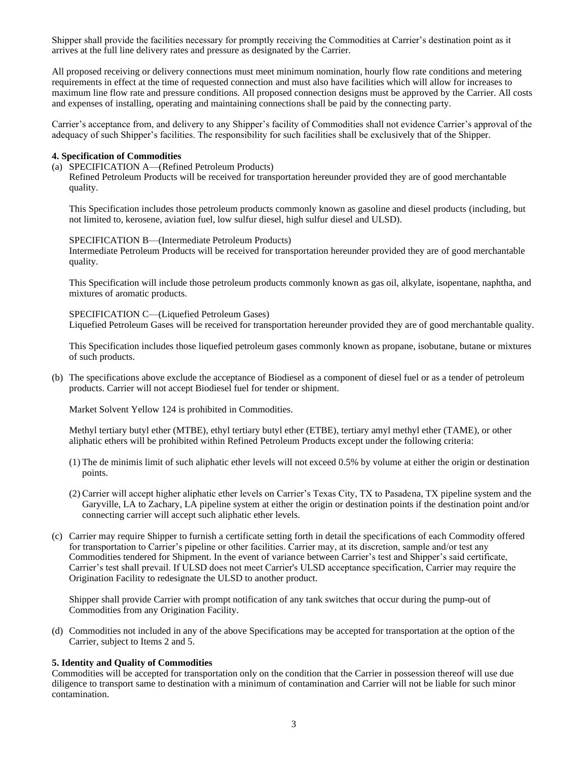Shipper shall provide the facilities necessary for promptly receiving the Commodities at Carrier's destination point as it arrives at the full line delivery rates and pressure as designated by the Carrier.

All proposed receiving or delivery connections must meet minimum nomination, hourly flow rate conditions and metering requirements in effect at the time of requested connection and must also have facilities which will allow for increases to maximum line flow rate and pressure conditions. All proposed connection designs must be approved by the Carrier. All costs and expenses of installing, operating and maintaining connections shall be paid by the connecting party.

Carrier's acceptance from, and delivery to any Shipper's facility of Commodities shall not evidence Carrier's approval of the adequacy of such Shipper's facilities. The responsibility for such facilities shall be exclusively that of the Shipper.

#### **4. Specification of Commodities**

(a) SPECIFICATION A—(Refined Petroleum Products)

Refined Petroleum Products will be received for transportation hereunder provided they are of good merchantable quality.

This Specification includes those petroleum products commonly known as gasoline and diesel products (including, but not limited to, kerosene, aviation fuel, low sulfur diesel, high sulfur diesel and ULSD).

#### SPECIFICATION B—(Intermediate Petroleum Products)

Intermediate Petroleum Products will be received for transportation hereunder provided they are of good merchantable quality.

This Specification will include those petroleum products commonly known as gas oil, alkylate, isopentane, naphtha, and mixtures of aromatic products.

SPECIFICATION C—(Liquefied Petroleum Gases) Liquefied Petroleum Gases will be received for transportation hereunder provided they are of good merchantable quality.

This Specification includes those liquefied petroleum gases commonly known as propane, isobutane, butane or mixtures of such products.

(b) The specifications above exclude the acceptance of Biodiesel as a component of diesel fuel or as a tender of petroleum products. Carrier will not accept Biodiesel fuel for tender or shipment.

Market Solvent Yellow 124 is prohibited in Commodities.

Methyl tertiary butyl ether (MTBE), ethyl tertiary butyl ether (ETBE), tertiary amyl methyl ether (TAME), or other aliphatic ethers will be prohibited within Refined Petroleum Products except under the following criteria:

- (1) The de minimis limit of such aliphatic ether levels will not exceed 0.5% by volume at either the origin or destination points.
- (2) Carrier will accept higher aliphatic ether levels on Carrier's Texas City, TX to Pasadena, TX pipeline system and the Garyville, LA to Zachary, LA pipeline system at either the origin or destination points if the destination point and/or connecting carrier will accept such aliphatic ether levels.
- (c) Carrier may require Shipper to furnish a certificate setting forth in detail the specifications of each Commodity offered for transportation to Carrier's pipeline or other facilities. Carrier may, at its discretion, sample and/or test any Commodities tendered for Shipment. In the event of variance between Carrier's test and Shipper's said certificate, Carrier's test shall prevail. If ULSD does not meet Carrier's ULSD acceptance specification, Carrier may require the Origination Facility to redesignate the ULSD to another product.

Shipper shall provide Carrier with prompt notification of any tank switches that occur during the pump-out of Commodities from any Origination Facility.

(d) Commodities not included in any of the above Specifications may be accepted for transportation at the option of the Carrier, subject to Items 2 and 5.

#### **5. Identity and Quality of Commodities**

Commodities will be accepted for transportation only on the condition that the Carrier in possession thereof will use due diligence to transport same to destination with a minimum of contamination and Carrier will not be liable for such minor contamination.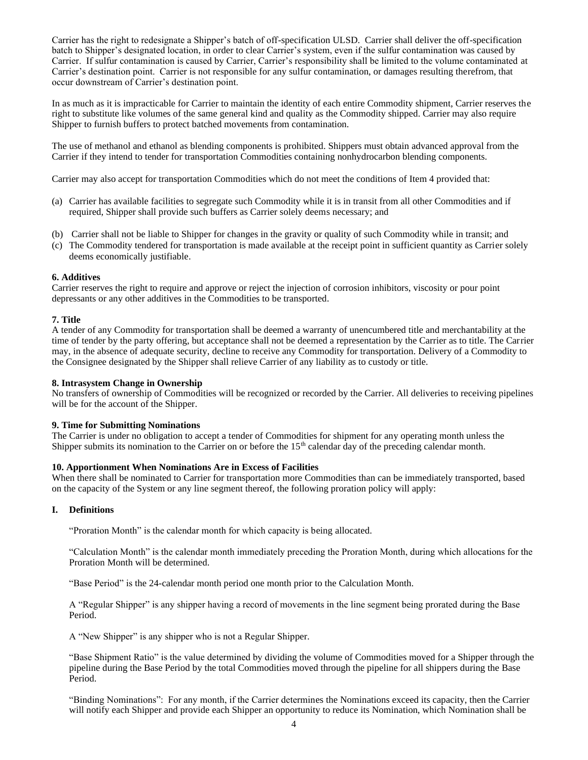Carrier has the right to redesignate a Shipper's batch of off-specification ULSD. Carrier shall deliver the off-specification batch to Shipper's designated location, in order to clear Carrier's system, even if the sulfur contamination was caused by Carrier. If sulfur contamination is caused by Carrier, Carrier's responsibility shall be limited to the volume contaminated at Carrier's destination point. Carrier is not responsible for any sulfur contamination, or damages resulting therefrom, that occur downstream of Carrier's destination point.

In as much as it is impracticable for Carrier to maintain the identity of each entire Commodity shipment, Carrier reserves the right to substitute like volumes of the same general kind and quality as the Commodity shipped. Carrier may also require Shipper to furnish buffers to protect batched movements from contamination.

The use of methanol and ethanol as blending components is prohibited. Shippers must obtain advanced approval from the Carrier if they intend to tender for transportation Commodities containing nonhydrocarbon blending components.

Carrier may also accept for transportation Commodities which do not meet the conditions of Item 4 provided that:

- (a) Carrier has available facilities to segregate such Commodity while it is in transit from all other Commodities and if required, Shipper shall provide such buffers as Carrier solely deems necessary; and
- (b) Carrier shall not be liable to Shipper for changes in the gravity or quality of such Commodity while in transit; and
- (c) The Commodity tendered for transportation is made available at the receipt point in sufficient quantity as Carrier solely deems economically justifiable.

#### **6. Additives**

Carrier reserves the right to require and approve or reject the injection of corrosion inhibitors, viscosity or pour point depressants or any other additives in the Commodities to be transported.

#### **7. Title**

A tender of any Commodity for transportation shall be deemed a warranty of unencumbered title and merchantability at the time of tender by the party offering, but acceptance shall not be deemed a representation by the Carrier as to title. The Carrier may, in the absence of adequate security, decline to receive any Commodity for transportation. Delivery of a Commodity to the Consignee designated by the Shipper shall relieve Carrier of any liability as to custody or title.

#### **8. Intrasystem Change in Ownership**

No transfers of ownership of Commodities will be recognized or recorded by the Carrier. All deliveries to receiving pipelines will be for the account of the Shipper.

#### **9. Time for Submitting Nominations**

The Carrier is under no obligation to accept a tender of Commodities for shipment for any operating month unless the Shipper submits its nomination to the Carrier on or before the 15<sup>th</sup> calendar day of the preceding calendar month.

#### **10. Apportionment When Nominations Are in Excess of Facilities**

When there shall be nominated to Carrier for transportation more Commodities than can be immediately transported, based on the capacity of the System or any line segment thereof, the following proration policy will apply:

#### **I. Definitions**

"Proration Month" is the calendar month for which capacity is being allocated.

"Calculation Month" is the calendar month immediately preceding the Proration Month, during which allocations for the Proration Month will be determined.

"Base Period" is the 24-calendar month period one month prior to the Calculation Month.

A "Regular Shipper" is any shipper having a record of movements in the line segment being prorated during the Base Period.

A "New Shipper" is any shipper who is not a Regular Shipper.

 "Base Shipment Ratio" is the value determined by dividing the volume of Commodities moved for a Shipper through the pipeline during the Base Period by the total Commodities moved through the pipeline for all shippers during the Base Period.

"Binding Nominations": For any month, if the Carrier determines the Nominations exceed its capacity, then the Carrier will notify each Shipper and provide each Shipper an opportunity to reduce its Nomination, which Nomination shall be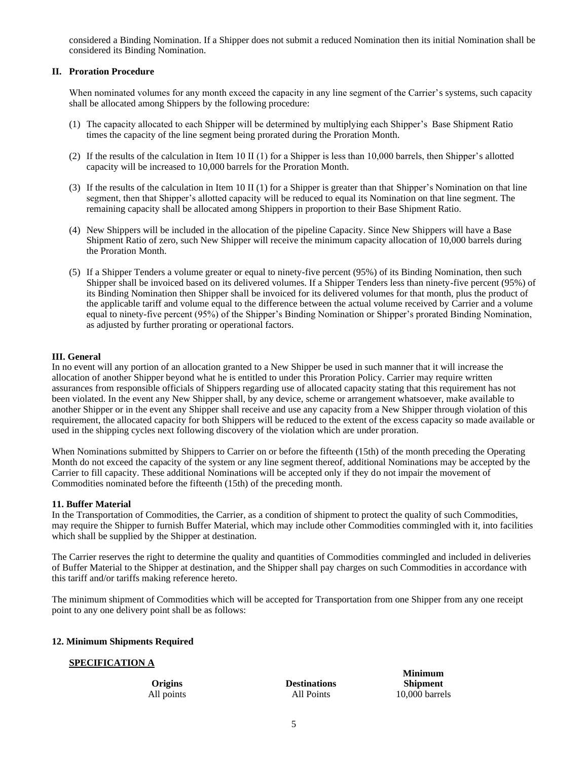considered a Binding Nomination. If a Shipper does not submit a reduced Nomination then its initial Nomination shall be considered its Binding Nomination.

#### **II. Proration Procedure**

When nominated volumes for any month exceed the capacity in any line segment of the Carrier's systems, such capacity shall be allocated among Shippers by the following procedure:

- (1) The capacity allocated to each Shipper will be determined by multiplying each Shipper's Base Shipment Ratio times the capacity of the line segment being prorated during the Proration Month.
- (2) If the results of the calculation in Item 10 II (1) for a Shipper is less than 10,000 barrels, then Shipper's allotted capacity will be increased to 10,000 barrels for the Proration Month.
- (3) If the results of the calculation in Item 10 II (1) for a Shipper is greater than that Shipper's Nomination on that line segment, then that Shipper's allotted capacity will be reduced to equal its Nomination on that line segment. The remaining capacity shall be allocated among Shippers in proportion to their Base Shipment Ratio.
- (4) New Shippers will be included in the allocation of the pipeline Capacity. Since New Shippers will have a Base Shipment Ratio of zero, such New Shipper will receive the minimum capacity allocation of 10,000 barrels during the Proration Month.
- (5) If a Shipper Tenders a volume greater or equal to ninety-five percent (95%) of its Binding Nomination, then such Shipper shall be invoiced based on its delivered volumes. If a Shipper Tenders less than ninety-five percent (95%) of its Binding Nomination then Shipper shall be invoiced for its delivered volumes for that month, plus the product of the applicable tariff and volume equal to the difference between the actual volume received by Carrier and a volume equal to ninety-five percent (95%) of the Shipper's Binding Nomination or Shipper's prorated Binding Nomination, as adjusted by further prorating or operational factors.

#### **III. General**

In no event will any portion of an allocation granted to a New Shipper be used in such manner that it will increase the allocation of another Shipper beyond what he is entitled to under this Proration Policy. Carrier may require written assurances from responsible officials of Shippers regarding use of allocated capacity stating that this requirement has not been violated. In the event any New Shipper shall, by any device, scheme or arrangement whatsoever, make available to another Shipper or in the event any Shipper shall receive and use any capacity from a New Shipper through violation of this requirement, the allocated capacity for both Shippers will be reduced to the extent of the excess capacity so made available or used in the shipping cycles next following discovery of the violation which are under proration.

When Nominations submitted by Shippers to Carrier on or before the fifteenth (15th) of the month preceding the Operating Month do not exceed the capacity of the system or any line segment thereof, additional Nominations may be accepted by the Carrier to fill capacity. These additional Nominations will be accepted only if they do not impair the movement of Commodities nominated before the fifteenth (15th) of the preceding month.

#### **11. Buffer Material**

In the Transportation of Commodities, the Carrier, as a condition of shipment to protect the quality of such Commodities, may require the Shipper to furnish Buffer Material, which may include other Commodities commingled with it, into facilities which shall be supplied by the Shipper at destination.

The Carrier reserves the right to determine the quality and quantities of Commodities commingled and included in deliveries of Buffer Material to the Shipper at destination, and the Shipper shall pay charges on such Commodities in accordance with this tariff and/or tariffs making reference hereto.

The minimum shipment of Commodities which will be accepted for Transportation from one Shipper from any one receipt point to any one delivery point shall be as follows:

#### **12. Minimum Shipments Required**

#### **SPECIFICATION A**

**Origins Destinations Shipment**

**Minimum** All points All Points 10,000 barrels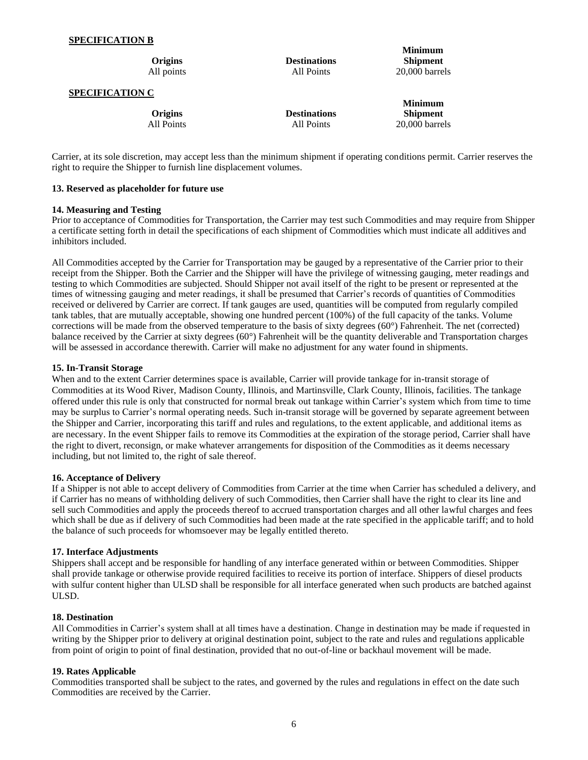#### **SPECIFICATION B**

| Origins                | <b>Destinations</b> | <b>Minimum</b><br><b>Shipment</b> |
|------------------------|---------------------|-----------------------------------|
| All points             | All Points          | $20,000$ barrels                  |
| <b>SPECIFICATION C</b> |                     |                                   |
|                        |                     | <b>Minimum</b>                    |
| Origins                | <b>Destinations</b> | <b>Shipment</b>                   |
| All Points             | All Points          | $20.000$ barrels                  |

Carrier, at its sole discretion, may accept less than the minimum shipment if operating conditions permit. Carrier reserves the right to require the Shipper to furnish line displacement volumes.

#### **13. Reserved as placeholder for future use**

#### **14. Measuring and Testing**

Prior to acceptance of Commodities for Transportation, the Carrier may test such Commodities and may require from Shipper a certificate setting forth in detail the specifications of each shipment of Commodities which must indicate all additives and inhibitors included.

All Commodities accepted by the Carrier for Transportation may be gauged by a representative of the Carrier prior to their receipt from the Shipper. Both the Carrier and the Shipper will have the privilege of witnessing gauging, meter readings and testing to which Commodities are subjected. Should Shipper not avail itself of the right to be present or represented at the times of witnessing gauging and meter readings, it shall be presumed that Carrier's records of quantities of Commodities received or delivered by Carrier are correct. If tank gauges are used, quantities will be computed from regularly compiled tank tables, that are mutually acceptable, showing one hundred percent (100%) of the full capacity of the tanks. Volume corrections will be made from the observed temperature to the basis of sixty degrees (60°) Fahrenheit. The net (corrected) balance received by the Carrier at sixty degrees (60°) Fahrenheit will be the quantity deliverable and Transportation charges will be assessed in accordance therewith. Carrier will make no adjustment for any water found in shipments.

#### **15. In-Transit Storage**

When and to the extent Carrier determines space is available, Carrier will provide tankage for in-transit storage of Commodities at its Wood River, Madison County, Illinois, and Martinsville, Clark County, Illinois, facilities. The tankage offered under this rule is only that constructed for normal break out tankage within Carrier's system which from time to time may be surplus to Carrier's normal operating needs. Such in-transit storage will be governed by separate agreement between the Shipper and Carrier, incorporating this tariff and rules and regulations, to the extent applicable, and additional items as are necessary. In the event Shipper fails to remove its Commodities at the expiration of the storage period, Carrier shall have the right to divert, reconsign, or make whatever arrangements for disposition of the Commodities as it deems necessary including, but not limited to, the right of sale thereof.

#### **16. Acceptance of Delivery**

If a Shipper is not able to accept delivery of Commodities from Carrier at the time when Carrier has scheduled a delivery, and if Carrier has no means of withholding delivery of such Commodities, then Carrier shall have the right to clear its line and sell such Commodities and apply the proceeds thereof to accrued transportation charges and all other lawful charges and fees which shall be due as if delivery of such Commodities had been made at the rate specified in the applicable tariff; and to hold the balance of such proceeds for whomsoever may be legally entitled thereto.

#### **17. Interface Adjustments**

Shippers shall accept and be responsible for handling of any interface generated within or between Commodities. Shipper shall provide tankage or otherwise provide required facilities to receive its portion of interface. Shippers of diesel products with sulfur content higher than ULSD shall be responsible for all interface generated when such products are batched against ULSD.

#### **18. Destination**

All Commodities in Carrier's system shall at all times have a destination. Change in destination may be made if requested in writing by the Shipper prior to delivery at original destination point, subject to the rate and rules and regulations applicable from point of origin to point of final destination, provided that no out-of-line or backhaul movement will be made.

#### **19. Rates Applicable**

Commodities transported shall be subject to the rates, and governed by the rules and regulations in effect on the date such Commodities are received by the Carrier.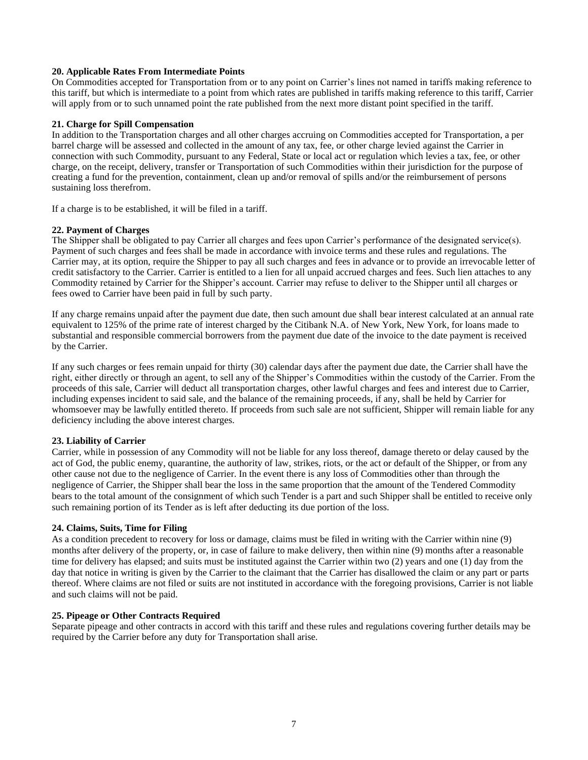#### **20. Applicable Rates From Intermediate Points**

On Commodities accepted for Transportation from or to any point on Carrier's lines not named in tariffs making reference to this tariff, but which is intermediate to a point from which rates are published in tariffs making reference to this tariff, Carrier will apply from or to such unnamed point the rate published from the next more distant point specified in the tariff.

#### **21. Charge for Spill Compensation**

In addition to the Transportation charges and all other charges accruing on Commodities accepted for Transportation, a per barrel charge will be assessed and collected in the amount of any tax, fee, or other charge levied against the Carrier in connection with such Commodity, pursuant to any Federal, State or local act or regulation which levies a tax, fee, or other charge, on the receipt, delivery, transfer or Transportation of such Commodities within their jurisdiction for the purpose of creating a fund for the prevention, containment, clean up and/or removal of spills and/or the reimbursement of persons sustaining loss therefrom.

If a charge is to be established, it will be filed in a tariff.

#### **22. Payment of Charges**

The Shipper shall be obligated to pay Carrier all charges and fees upon Carrier's performance of the designated service(s). Payment of such charges and fees shall be made in accordance with invoice terms and these rules and regulations. The Carrier may, at its option, require the Shipper to pay all such charges and fees in advance or to provide an irrevocable letter of credit satisfactory to the Carrier. Carrier is entitled to a lien for all unpaid accrued charges and fees. Such lien attaches to any Commodity retained by Carrier for the Shipper's account. Carrier may refuse to deliver to the Shipper until all charges or fees owed to Carrier have been paid in full by such party.

If any charge remains unpaid after the payment due date, then such amount due shall bear interest calculated at an annual rate equivalent to 125% of the prime rate of interest charged by the Citibank N.A. of New York, New York, for loans made to substantial and responsible commercial borrowers from the payment due date of the invoice to the date payment is received by the Carrier.

If any such charges or fees remain unpaid for thirty (30) calendar days after the payment due date, the Carrier shall have the right, either directly or through an agent, to sell any of the Shipper's Commodities within the custody of the Carrier. From the proceeds of this sale, Carrier will deduct all transportation charges, other lawful charges and fees and interest due to Carrier, including expenses incident to said sale, and the balance of the remaining proceeds, if any, shall be held by Carrier for whomsoever may be lawfully entitled thereto. If proceeds from such sale are not sufficient, Shipper will remain liable for any deficiency including the above interest charges.

#### **23. Liability of Carrier**

Carrier, while in possession of any Commodity will not be liable for any loss thereof, damage thereto or delay caused by the act of God, the public enemy, quarantine, the authority of law, strikes, riots, or the act or default of the Shipper, or from any other cause not due to the negligence of Carrier. In the event there is any loss of Commodities other than through the negligence of Carrier, the Shipper shall bear the loss in the same proportion that the amount of the Tendered Commodity bears to the total amount of the consignment of which such Tender is a part and such Shipper shall be entitled to receive only such remaining portion of its Tender as is left after deducting its due portion of the loss.

#### **24. Claims, Suits, Time for Filing**

As a condition precedent to recovery for loss or damage, claims must be filed in writing with the Carrier within nine (9) months after delivery of the property, or, in case of failure to make delivery, then within nine (9) months after a reasonable time for delivery has elapsed; and suits must be instituted against the Carrier within two (2) years and one (1) day from the day that notice in writing is given by the Carrier to the claimant that the Carrier has disallowed the claim or any part or parts thereof. Where claims are not filed or suits are not instituted in accordance with the foregoing provisions, Carrier is not liable and such claims will not be paid.

#### **25. Pipeage or Other Contracts Required**

Separate pipeage and other contracts in accord with this tariff and these rules and regulations covering further details may be required by the Carrier before any duty for Transportation shall arise.